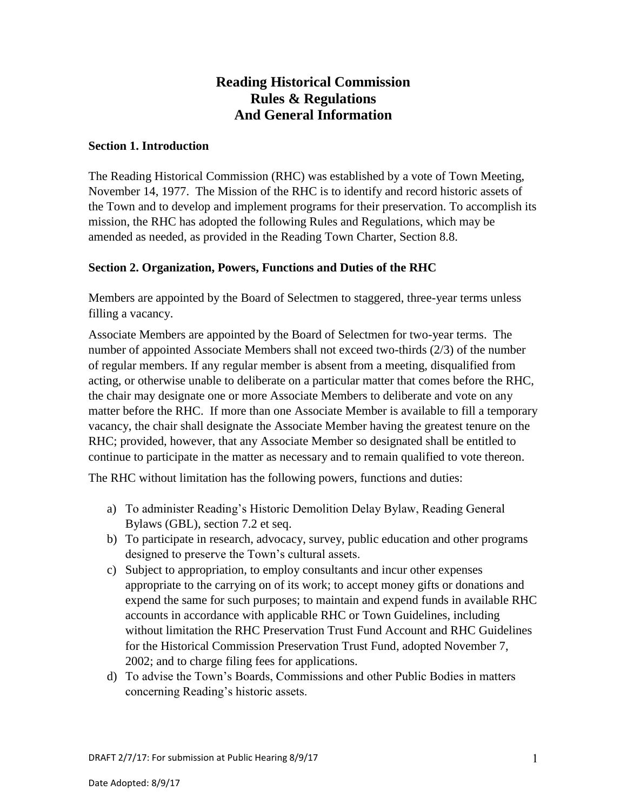# **Reading Historical Commission Rules & Regulations And General Information**

### **Section 1. Introduction**

The Reading Historical Commission (RHC) was established by a vote of Town Meeting, November 14, 1977.The Mission of the RHC is to identify and record historic assets of the Town and to develop and implement programs for their preservation. To accomplish its mission, the RHC has adopted the following Rules and Regulations, which may be amended as needed, as provided in the Reading Town Charter, Section 8.8.

## **Section 2. Organization, Powers, Functions and Duties of the RHC**

Members are appointed by the Board of Selectmen to staggered, three-year terms unless filling a vacancy.

Associate Members are appointed by the Board of Selectmen for two-year terms. The number of appointed Associate Members shall not exceed two-thirds (2/3) of the number of regular members. If any regular member is absent from a meeting, disqualified from acting, or otherwise unable to deliberate on a particular matter that comes before the RHC, the chair may designate one or more Associate Members to deliberate and vote on any matter before the RHC. If more than one Associate Member is available to fill a temporary vacancy, the chair shall designate the Associate Member having the greatest tenure on the RHC; provided, however, that any Associate Member so designated shall be entitled to continue to participate in the matter as necessary and to remain qualified to vote thereon.

The RHC without limitation has the following powers, functions and duties:

- a) To administer Reading's Historic Demolition Delay Bylaw, Reading General Bylaws (GBL), section 7.2 et seq.
- b) To participate in research, advocacy, survey, public education and other programs designed to preserve the Town's cultural assets.
- c) Subject to appropriation, to employ consultants and incur other expenses appropriate to the carrying on of its work; to accept money gifts or donations and expend the same for such purposes; to maintain and expend funds in available RHC accounts in accordance with applicable RHC or Town Guidelines, including without limitation the RHC Preservation Trust Fund Account and RHC Guidelines for the Historical Commission Preservation Trust Fund, adopted November 7, 2002; and to charge filing fees for applications.
- d) To advise the Town's Boards, Commissions and other Public Bodies in matters concerning Reading's historic assets.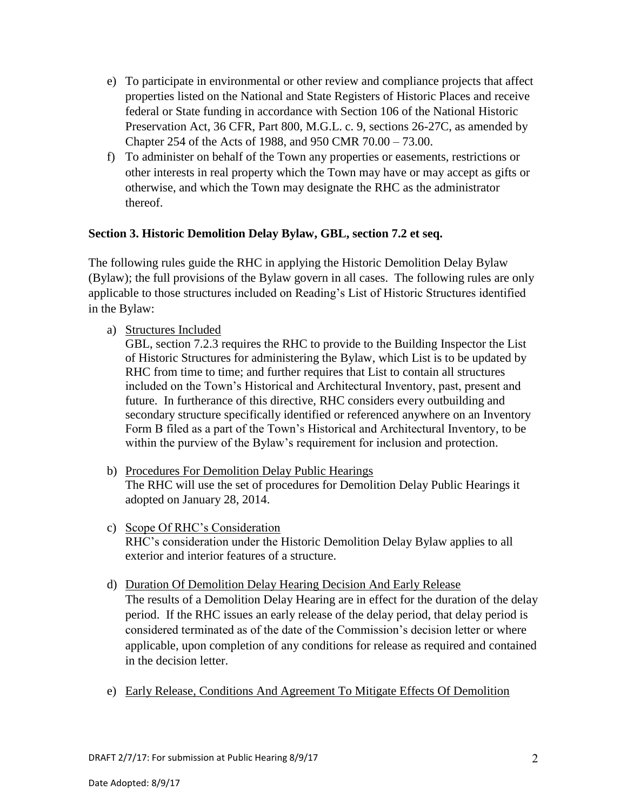- e) To participate in environmental or other review and compliance projects that affect properties listed on the National and State Registers of Historic Places and receive federal or State funding in accordance with Section 106 of the National Historic Preservation Act, 36 CFR, Part 800, M.G.L. c. 9, sections 26-27C, as amended by Chapter 254 of the Acts of 1988, and 950 CMR 70.00 – 73.00.
- f) To administer on behalf of the Town any properties or easements, restrictions or other interests in real property which the Town may have or may accept as gifts or otherwise, and which the Town may designate the RHC as the administrator thereof.

## **Section 3. Historic Demolition Delay Bylaw, GBL, section 7.2 et seq.**

The following rules guide the RHC in applying the Historic Demolition Delay Bylaw (Bylaw); the full provisions of the Bylaw govern in all cases. The following rules are only applicable to those structures included on Reading's List of Historic Structures identified in the Bylaw:

a) Structures Included

GBL, section 7.2.3 requires the RHC to provide to the Building Inspector the List of Historic Structures for administering the Bylaw, which List is to be updated by RHC from time to time; and further requires that List to contain all structures included on the Town's Historical and Architectural Inventory, past, present and future. In furtherance of this directive, RHC considers every outbuilding and secondary structure specifically identified or referenced anywhere on an Inventory Form B filed as a part of the Town's Historical and Architectural Inventory, to be within the purview of the Bylaw's requirement for inclusion and protection.

- b) Procedures For Demolition Delay Public Hearings The RHC will use the set of procedures for Demolition Delay Public Hearings it adopted on January 28, 2014.
- c) Scope Of RHC's Consideration RHC's consideration under the Historic Demolition Delay Bylaw applies to all exterior and interior features of a structure.
- d) Duration Of Demolition Delay Hearing Decision And Early Release

The results of a Demolition Delay Hearing are in effect for the duration of the delay period. If the RHC issues an early release of the delay period, that delay period is considered terminated as of the date of the Commission's decision letter or where applicable, upon completion of any conditions for release as required and contained in the decision letter.

e) Early Release, Conditions And Agreement To Mitigate Effects Of Demolition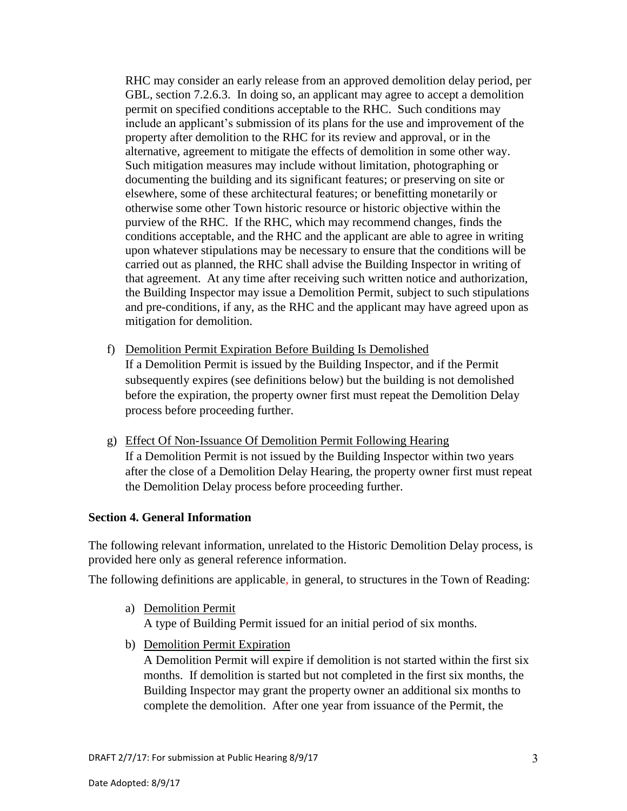RHC may consider an early release from an approved demolition delay period, per GBL, section 7.2.6.3. In doing so, an applicant may agree to accept a demolition permit on specified conditions acceptable to the RHC. Such conditions may include an applicant's submission of its plans for the use and improvement of the property after demolition to the RHC for its review and approval, or in the alternative, agreement to mitigate the effects of demolition in some other way. Such mitigation measures may include without limitation, photographing or documenting the building and its significant features; or preserving on site or elsewhere, some of these architectural features; or benefitting monetarily or otherwise some other Town historic resource or historic objective within the purview of the RHC. If the RHC, which may recommend changes, finds the conditions acceptable, and the RHC and the applicant are able to agree in writing upon whatever stipulations may be necessary to ensure that the conditions will be carried out as planned, the RHC shall advise the Building Inspector in writing of that agreement. At any time after receiving such written notice and authorization, the Building Inspector may issue a Demolition Permit, subject to such stipulations and pre-conditions, if any, as the RHC and the applicant may have agreed upon as mitigation for demolition.

- f) Demolition Permit Expiration Before Building Is Demolished If a Demolition Permit is issued by the Building Inspector, and if the Permit subsequently expires (see definitions below) but the building is not demolished before the expiration, the property owner first must repeat the Demolition Delay process before proceeding further.
- g) Effect Of Non-Issuance Of Demolition Permit Following Hearing If a Demolition Permit is not issued by the Building Inspector within two years after the close of a Demolition Delay Hearing, the property owner first must repeat the Demolition Delay process before proceeding further.

#### **Section 4. General Information**

The following relevant information, unrelated to the Historic Demolition Delay process, is provided here only as general reference information.

The following definitions are applicable, in general, to structures in the Town of Reading:

- a) Demolition Permit A type of Building Permit issued for an initial period of six months.
- b) Demolition Permit Expiration

A Demolition Permit will expire if demolition is not started within the first six months. If demolition is started but not completed in the first six months, the Building Inspector may grant the property owner an additional six months to complete the demolition. After one year from issuance of the Permit, the